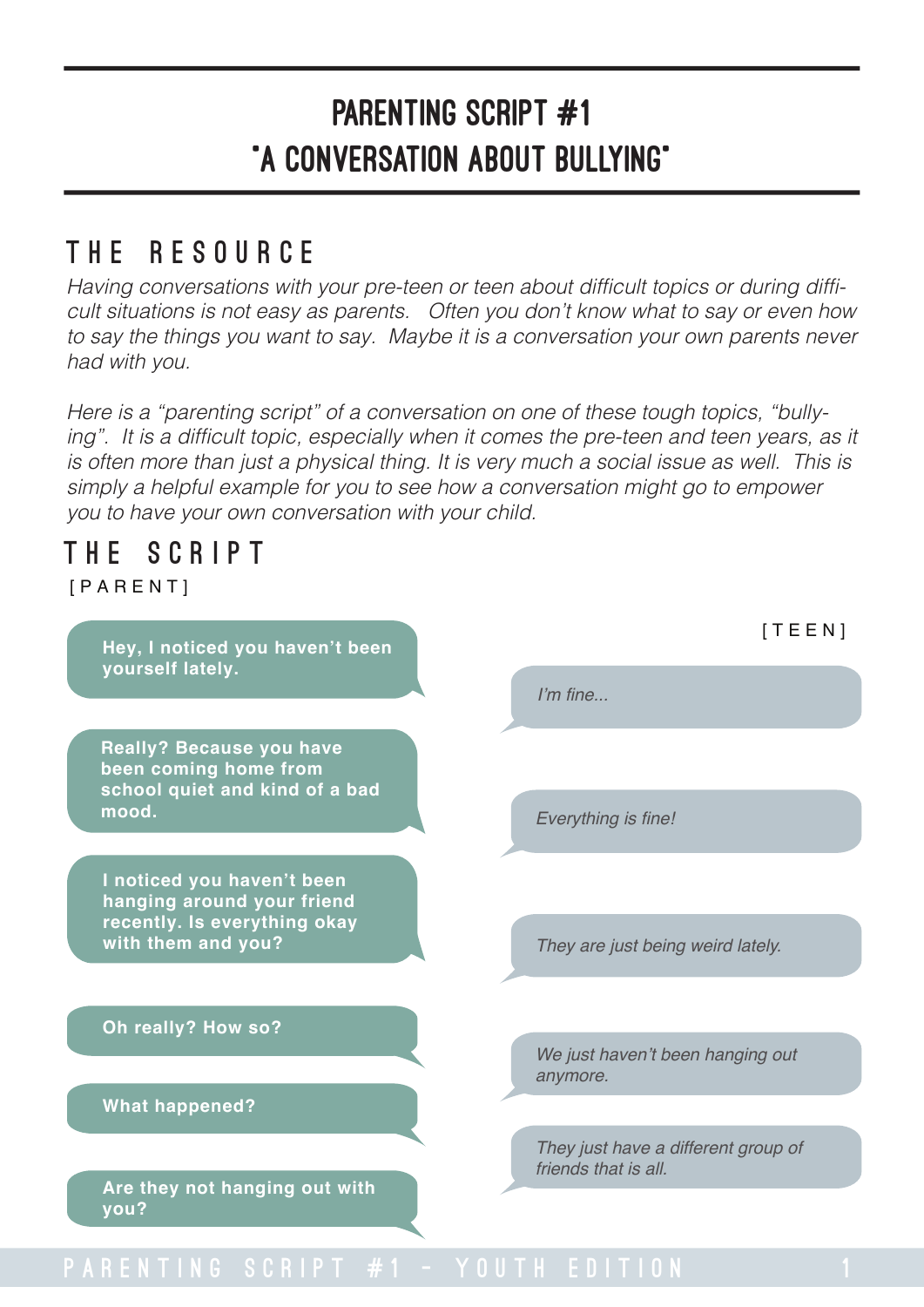### The Resource

Having conversations with your pre-teen or teen about difficult topics or during difficult situations is not easy as parents. Often you don't know what to say or even how to say the things you want to say. Maybe it is a conversation your own parents never had with you.

Here is a "parenting script" of a conversation on one of these tough topics, "bullying". It is a difficult topic, especially when it comes the pre-teen and teen years, as it is often more than just a physical thing. It is very much a social issue as well. This is simply a helpful example for you to see how a conversation might go to empower you to have your own conversation with your child.

### THE SCRIPT

**[PARENT]** 

**Hey, I noticed you haven't been yourself lately.**

**Really? Because you have been coming home from school quiet and kind of a bad mood.**

**I noticed you haven't been hanging around your friend recently. Is everything okay with them and you?**

**Oh really? How so?**

**What happened?**

**Are they not hanging out with you?**

I'm fine...

Everything is fine!

They are just being weird lately.

We just haven't been hanging out anymore.

They just have a different group of friends that is all.

[TEEN]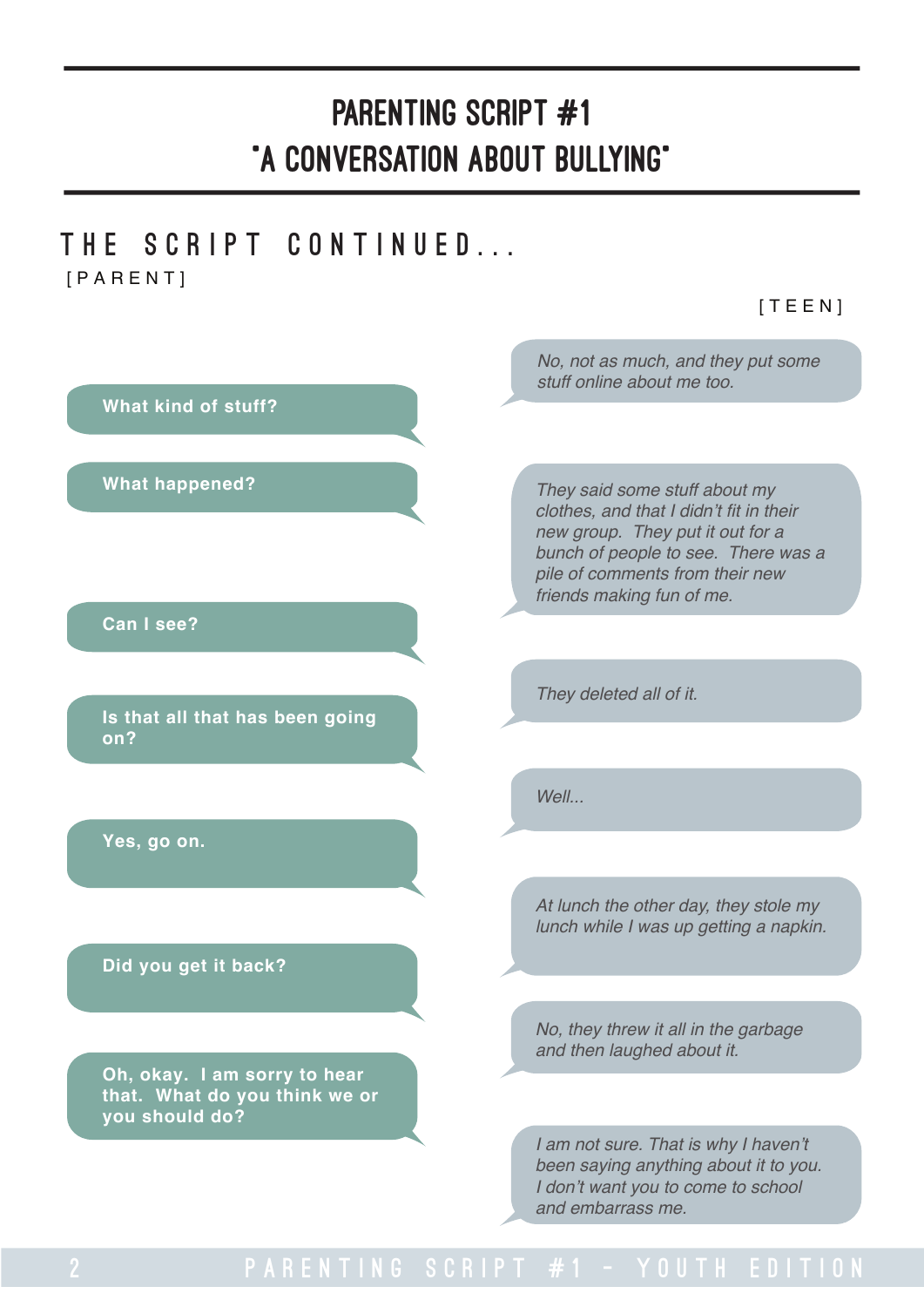### THE SCRIPT CONTINUED... [PARENT]

[TEEN]

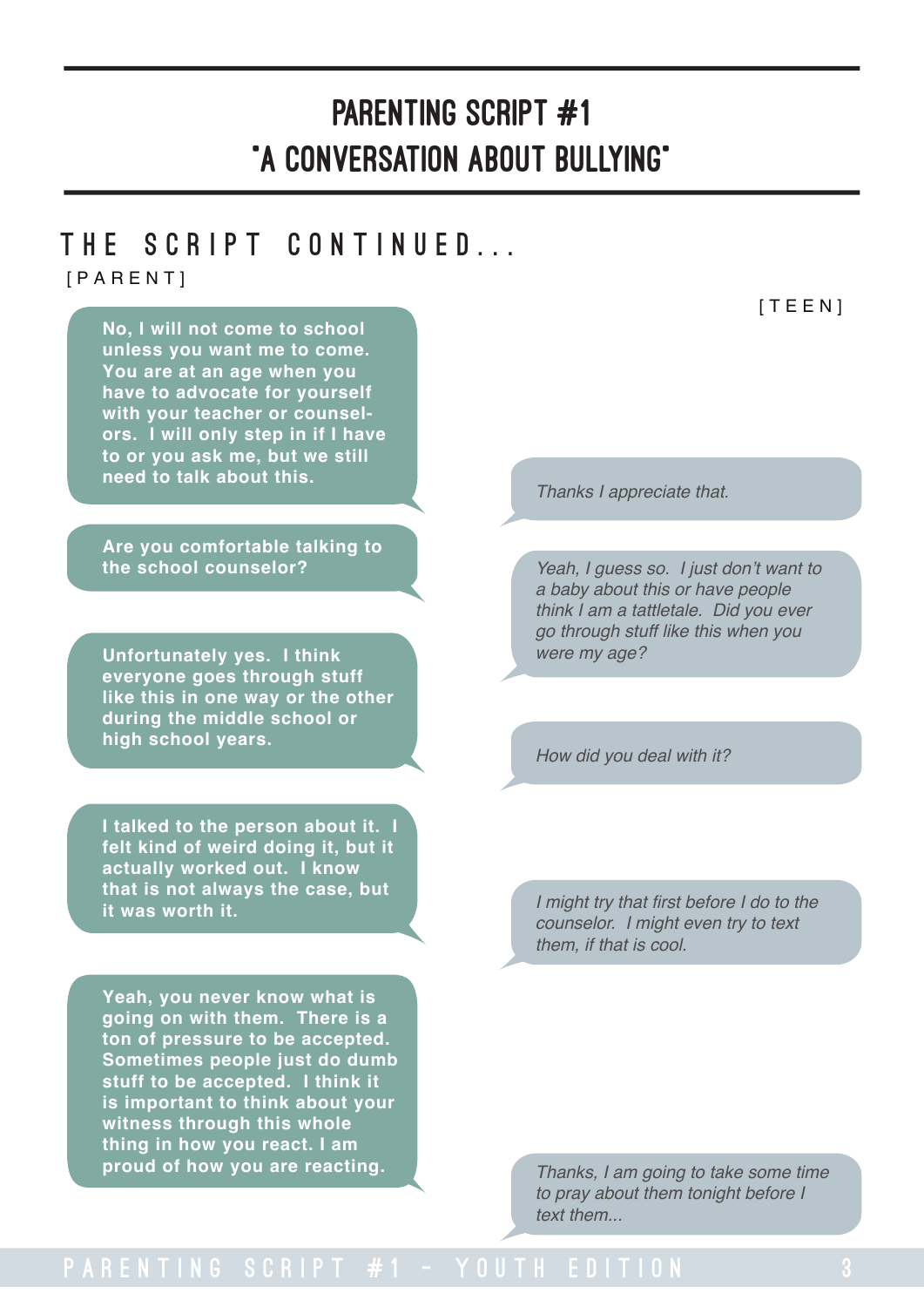# THE SCRIPT CONTINUED...

[PARENT] [TEEN] **No, I will not come to school unless you want me to come. You are at an age when you have to advocate for yourself with your teacher or counselors. I will only step in if I have to or you ask me, but we still need to talk about this. Are you comfortable talking to the school counselor? Unfortunately yes. I think everyone goes through stuff like this in one way or the other during the middle school or high school years. I talked to the person about it. I felt kind of weird doing it, but it actually worked out. I know that is not always the case, but it was worth it.** Thanks I appreciate that. Yeah, I guess so. I just don't want to a baby about this or have people think I am a tattletale. Did you ever go through stuff like this when you were my age? I might try that first before I do to the counselor. I might even try to text them, if that is cool. How did you deal with it? **Yeah, you never know what is going on with them. There is a ton of pressure to be accepted. Sometimes people just do dumb stuff to be accepted. I think it is important to think about your witness through this whole thing in how you react. I am Thanks, I am going to take some time** to pray about them tonight before I text them...